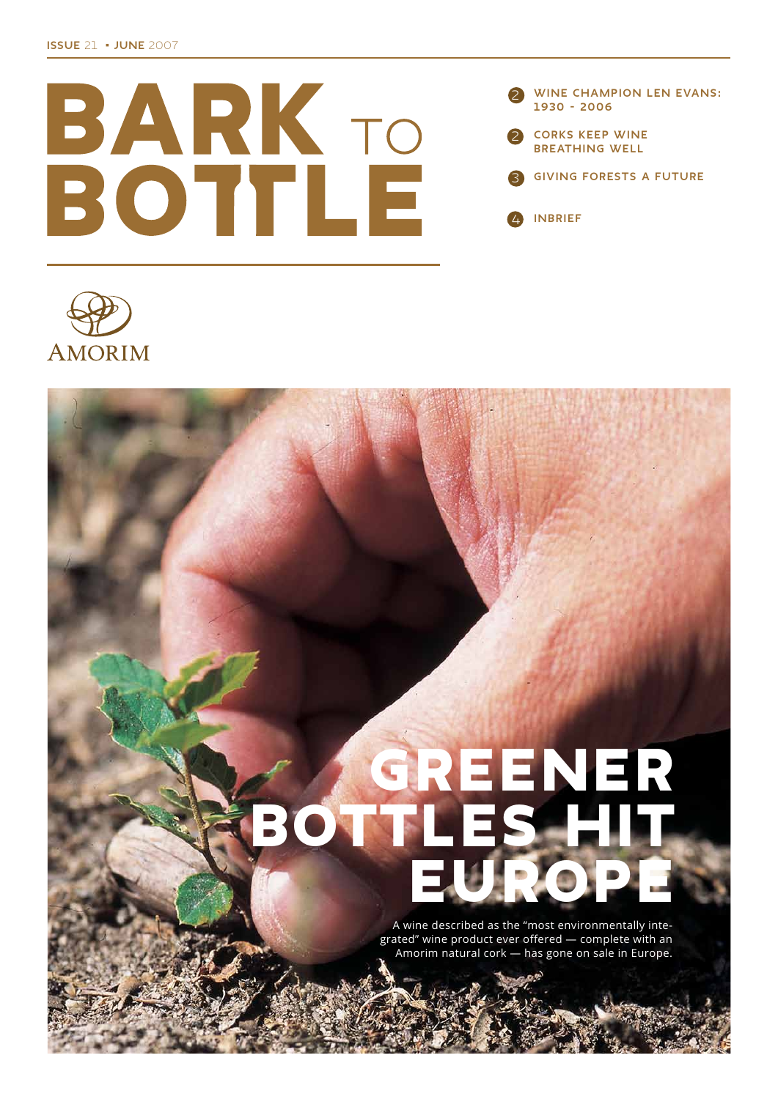





# GREENER<br>TLES HIT OTT  $\mathbf{B}$

A wine described as the "most environmentally integrated" wine product ever offered - complete with an Amorim natural cork - has gone on sale in Europe.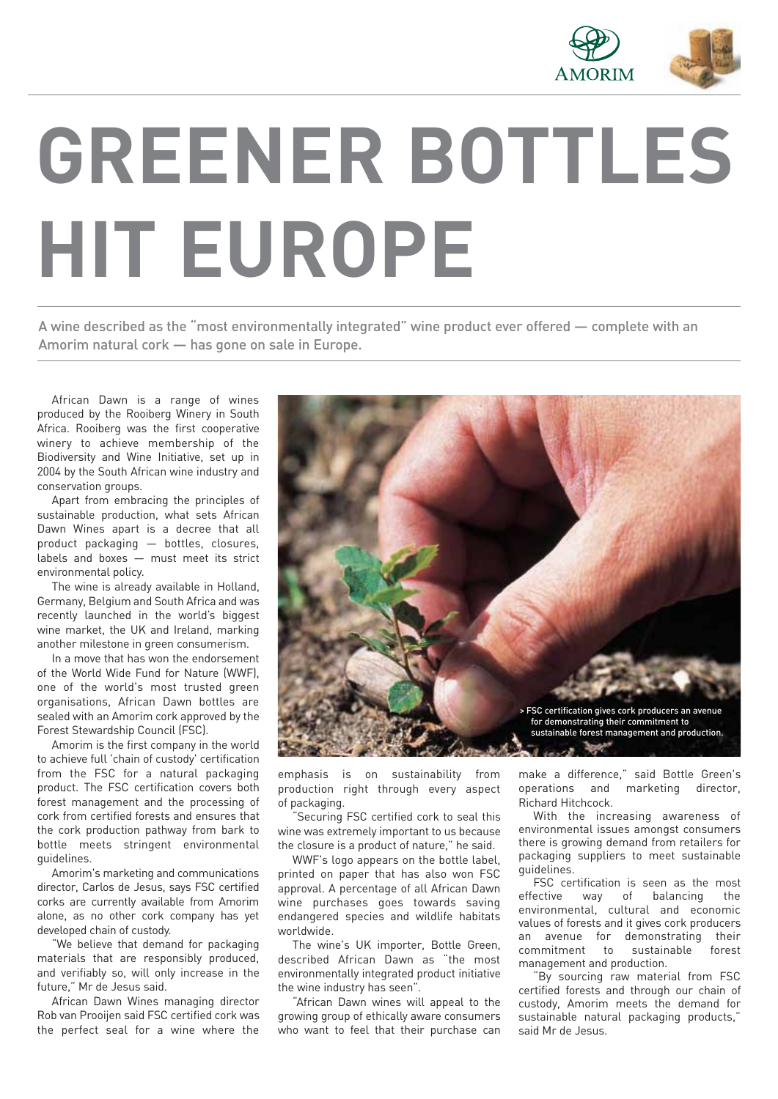

# **GREENER BOTTLES HIT EUROPE**

A wine described as the "most environmentally integrated" wine product ever offered — complete with an Amorim natural cork — has gone on sale in Europe.

African Dawn is a range of wines produced by the Rooiberg Winery in South Africa. Rooiberg was the first cooperative winery to achieve membership of the Biodiversity and Wine Initiative, set up in 2004 by the South African wine industry and conservation groups.

Apart from embracing the principles of sustainable production, what sets African Dawn Wines apart is a decree that all product packaging — bottles, closures, labels and boxes — must meet its strict environmental policy.

The wine is already available in Holland, Germany, Belgium and South Africa and was recently launched in the world's biggest wine market, the UK and Ireland, marking another milestone in green consumerism.

In a move that has won the endorsement of the World Wide Fund for Nature (WWF), one of the world's most trusted green organisations, African Dawn bottles are sealed with an Amorim cork approved by the Forest Stewardship Council (FSC).

Amorim is the first company in the world to achieve full 'chain of custody' certification from the FSC for a natural packaging product. The FSC certification covers both forest management and the processing of cork from certified forests and ensures that the cork production pathway from bark to bottle meets stringent environmental guidelines.

Amorim's marketing and communications director, Carlos de Jesus, says FSC certified corks are currently available from Amorim alone, as no other cork company has yet developed chain of custody.

"We believe that demand for packaging materials that are responsibly produced, and verifiably so, will only increase in the future," Mr de Jesus said.

African Dawn Wines managing director Rob van Prooijen said FSC certified cork was the perfect seal for a wine where the



emphasis is on sustainability from production right through every aspect of packaging.

Securing FSC certified cork to seal this wine was extremely important to us because the closure is a product of nature," he said.

WWF's logo appears on the bottle label, printed on paper that has also won FSC approval. A percentage of all African Dawn wine purchases goes towards saving endangered species and wildlife habitats worldwide.

The wine's UK importer, Bottle Green, described African Dawn as "the most environmentally integrated product initiative the wine industry has seen".

"African Dawn wines will appeal to the growing group of ethically aware consumers who want to feel that their purchase can make a difference," said Bottle Green's operations and marketing director, Richard Hitchcock.

With the increasing awareness of environmental issues amongst consumers there is growing demand from retailers for packaging suppliers to meet sustainable guidelines.

FSC certification is seen as the most effective way of balancing the environmental, cultural and economic values of forests and it gives cork producers an avenue for demonstrating their<br>commitment to sustainable forest commitment to sustainable management and production.

"By sourcing raw material from FSC certified forests and through our chain of custody, Amorim meets the demand for sustainable natural packaging products," said Mr de Jesus.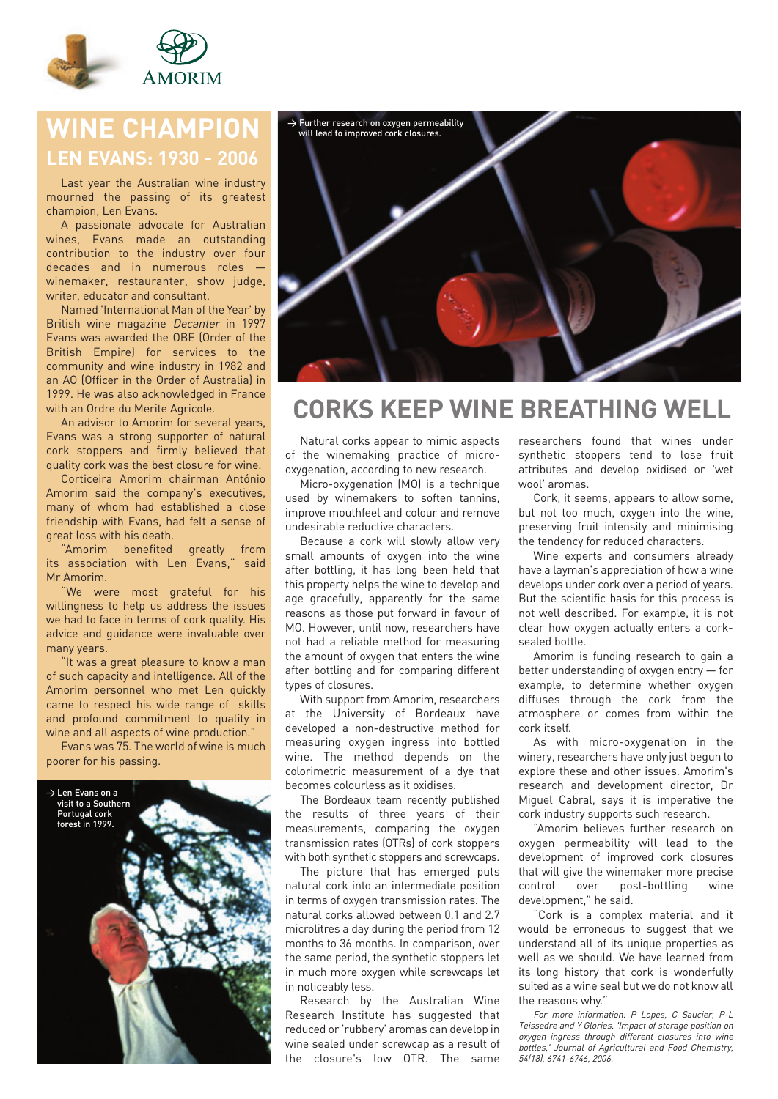

## **WINE CHAMPION LEN EVANS: 1930 - 2006**

Last year the Australian wine industry mourned the passing of its greatest champion, Len Evans.

A passionate advocate for Australian wines, Evans made an outstanding contribution to the industry over four decades and in numerous roles winemaker, restauranter, show judge, writer, educator and consultant.

Named 'International Man of the Year' by British wine magazine Decanter in 1997 Evans was awarded the OBE (Order of the British Empire) for services to the community and wine industry in 1982 and an AO (Officer in the Order of Australia) in 1999. He was also acknowledged in France with an Ordre du Merite Agricole.

An advisor to Amorim for several years, Evans was a strong supporter of natural cork stoppers and firmly believed that quality cork was the best closure for wine.

Corticeira Amorim chairman António Amorim said the company's executives, many of whom had established a close friendship with Evans, had felt a sense of great loss with his death.

"Amorim benefited greatly from its association with Len Evans," said Mr Amorim.

"We were most grateful for his willingness to help us address the issues we had to face in terms of cork quality. His advice and guidance were invaluable over many years.

"It was a great pleasure to know a man of such capacity and intelligence. All of the Amorim personnel who met Len quickly came to respect his wide range of skills and profound commitment to quality in wine and all aspects of wine production."

Evans was 75. The world of wine is much poorer for his passing.





## **CORKS KEEP WINE BREATHING WELL**

Natural corks appear to mimic aspects of the winemaking practice of microoxygenation, according to new research.

Micro-oxygenation (MO) is a technique used by winemakers to soften tannins, improve mouthfeel and colour and remove undesirable reductive characters.

Because a cork will slowly allow very small amounts of oxygen into the wine after bottling, it has long been held that this property helps the wine to develop and age gracefully, apparently for the same reasons as those put forward in favour of MO. However, until now, researchers have not had a reliable method for measuring the amount of oxygen that enters the wine after bottling and for comparing different types of closures.

With support from Amorim, researchers at the University of Bordeaux have developed a non-destructive method for measuring oxygen ingress into bottled wine. The method depends on the colorimetric measurement of a dye that becomes colourless as it oxidises.

The Bordeaux team recently published the results of three years of their measurements, comparing the oxygen transmission rates (OTRs) of cork stoppers with both synthetic stoppers and screwcaps.

The picture that has emerged puts natural cork into an intermediate position in terms of oxygen transmission rates. The natural corks allowed between 0.1 and 2.7 microlitres a day during the period from 12 months to 36 months. In comparison, over the same period, the synthetic stoppers let in much more oxygen while screwcaps let in noticeably less.

Research by the Australian Wine Research Institute has suggested that reduced or 'rubbery' aromas can develop in wine sealed under screwcap as a result of the closure's low OTR. The same

researchers found that wines under synthetic stoppers tend to lose fruit attributes and develop oxidised or 'wet wool' aromas.

Cork, it seems, appears to allow some, but not too much, oxygen into the wine, preserving fruit intensity and minimising the tendency for reduced characters.

Wine experts and consumers already have a layman's appreciation of how a wine develops under cork over a period of years. But the scientific basis for this process is not well described. For example, it is not clear how oxygen actually enters a corksealed bottle.

Amorim is funding research to gain a better understanding of oxygen entry — for example, to determine whether oxygen diffuses through the cork from the atmosphere or comes from within the cork itself.

As with micro-oxygenation in the winery, researchers have only just begun to explore these and other issues. Amorim's research and development director, Dr Miguel Cabral, says it is imperative the cork industry supports such research.

"Amorim believes further research on oxygen permeability will lead to the development of improved cork closures that will give the winemaker more precise control over post-bottling wine development," he said.

"Cork is a complex material and it would be erroneous to suggest that we understand all of its unique properties as well as we should. We have learned from its long history that cork is wonderfully suited as a wine seal but we do not know all the reasons why."

For more information: P Lopes, C Saucier, P-L Teissedre and Y Glories. 'Impact of storage position on oxygen ingress through different closures into wine bottles,' Journal of Agricultural and Food Chemistry, 54(18), 6741-6746, 2006.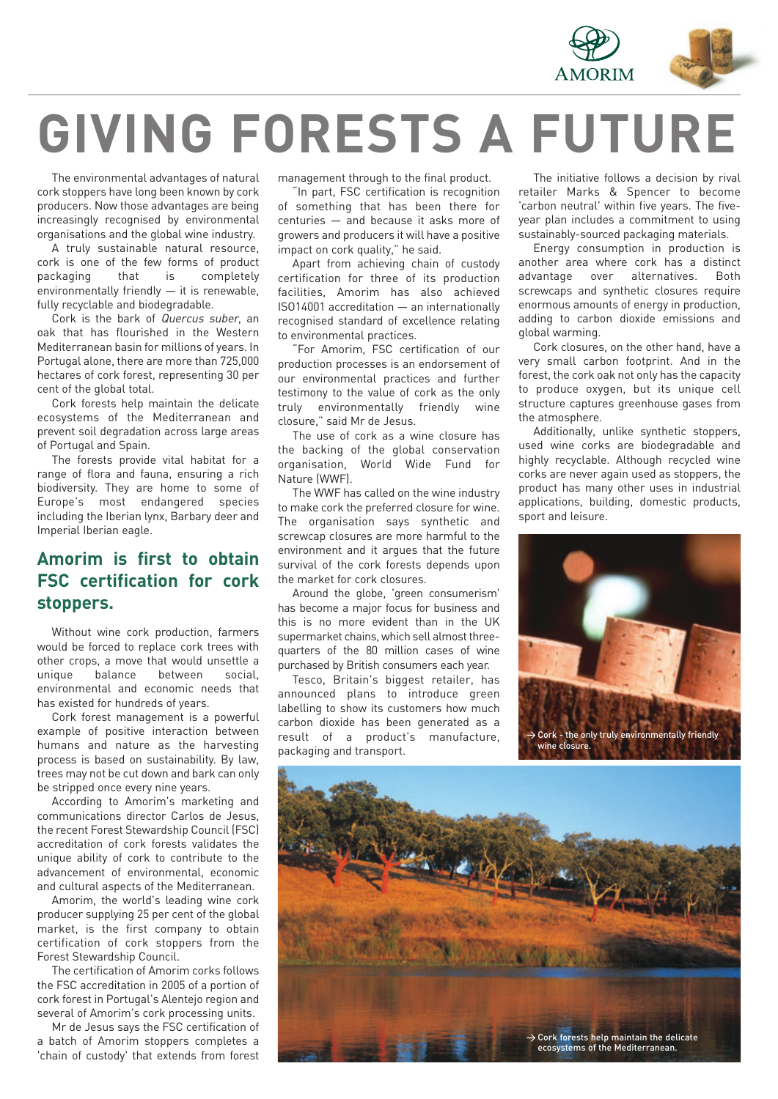

# **GIVING FORESTS A FUTURE**

The environmental advantages of natural cork stoppers have long been known by cork producers. Now those advantages are being increasingly recognised by environmental organisations and the global wine industry.

A truly sustainable natural resource, cork is one of the few forms of product packaging that is completely environmentally friendly — it is renewable, fully recyclable and biodegradable.

Cork is the bark of Quercus suber, an oak that has flourished in the Western Mediterranean basin for millions of years. In Portugal alone, there are more than 725,000 hectares of cork forest, representing 30 per cent of the global total.

Cork forests help maintain the delicate ecosystems of the Mediterranean and prevent soil degradation across large areas of Portugal and Spain.

The forests provide vital habitat for a range of flora and fauna, ensuring a rich biodiversity. They are home to some of Europe's most endangered species including the Iberian lynx, Barbary deer and Imperial Iberian eagle.

### **Amorim is first to obtain FSC certification for cork stoppers.**

Without wine cork production, farmers would be forced to replace cork trees with other crops, a move that would unsettle a unique balance between social, environmental and economic needs that has existed for hundreds of years.

Cork forest management is a powerful example of positive interaction between humans and nature as the harvesting process is based on sustainability. By law, trees may not be cut down and bark can only be stripped once every nine years.

According to Amorim's marketing and communications director Carlos de Jesus, the recent Forest Stewardship Council (FSC) accreditation of cork forests validates the unique ability of cork to contribute to the advancement of environmental, economic and cultural aspects of the Mediterranean.

Amorim, the world's leading wine cork producer supplying 25 per cent of the global market, is the first company to obtain certification of cork stoppers from the Forest Stewardship Council.

The certification of Amorim corks follows the FSC accreditation in 2005 of a portion of cork forest in Portugal's Alentejo region and several of Amorim's cork processing units.

Mr de Jesus says the FSC certification of a batch of Amorim stoppers completes a 'chain of custody' that extends from forest

management through to the final product.

"In part, FSC certification is recognition of something that has been there for centuries — and because it asks more of growers and producers it will have a positive impact on cork quality," he said.

Apart from achieving chain of custody certification for three of its production facilities, Amorim has also achieved ISO14001 accreditation — an internationally recognised standard of excellence relating to environmental practices.

"For Amorim, FSC certification of our production processes is an endorsement of our environmental practices and further testimony to the value of cork as the only truly environmentally friendly wine closure," said Mr de Jesus.

The use of cork as a wine closure has the backing of the global conservation organisation, World Wide Fund for Nature (WWF).

The WWF has called on the wine industry to make cork the preferred closure for wine. The organisation says synthetic and screwcap closures are more harmful to the environment and it argues that the future survival of the cork forests depends upon the market for cork closures.

Around the globe, 'green consumerism' has become a major focus for business and this is no more evident than in the UK supermarket chains, which sell almost threequarters of the 80 million cases of wine purchased by British consumers each year.

Tesco, Britain's biggest retailer, has announced plans to introduce green labelling to show its customers how much carbon dioxide has been generated as a result of a product's manufacture, packaging and transport.

The initiative follows a decision by rival retailer Marks & Spencer to become 'carbon neutral' within five years. The fiveyear plan includes a commitment to using sustainably-sourced packaging materials.

Energy consumption in production is another area where cork has a distinct advantage over alternatives. Both screwcaps and synthetic closures require enormous amounts of energy in production, adding to carbon dioxide emissions and global warming.

Cork closures, on the other hand, have a very small carbon footprint. And in the forest, the cork oak not only has the capacity to produce oxygen, but its unique cell structure captures greenhouse gases from the atmosphere.

Additionally, unlike synthetic stoppers, used wine corks are biodegradable and highly recyclable. Although recycled wine corks are never again used as stoppers, the product has many other uses in industrial applications, building, domestic products, sport and leisure.